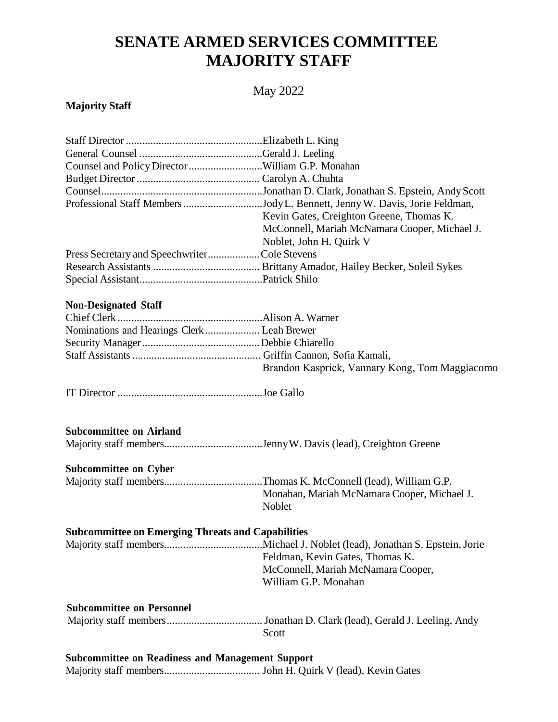# **SENATE ARMED SERVICES COMMITTEE MAJORITY STAFF**

# May 2022

### **Majority Staff**

| Counsel and Policy Director William G.P. Monahan         |                                                                            |
|----------------------------------------------------------|----------------------------------------------------------------------------|
|                                                          |                                                                            |
|                                                          |                                                                            |
|                                                          | Professional Staff Members Jody L. Bennett, Jenny W. Davis, Jorie Feldman, |
|                                                          | Kevin Gates, Creighton Greene, Thomas K.                                   |
|                                                          | McConnell, Mariah McNamara Cooper, Michael J.                              |
|                                                          | Noblet, John H. Quirk V                                                    |
| Press Secretary and SpeechwriterCole Stevens             |                                                                            |
|                                                          |                                                                            |
|                                                          |                                                                            |
| <b>Non-Designated Staff</b>                              |                                                                            |
|                                                          |                                                                            |
| Nominations and Hearings Clerk  Leah Brewer              |                                                                            |
|                                                          |                                                                            |
|                                                          |                                                                            |
|                                                          | Brandon Kasprick, Vannary Kong, Tom Maggiacomo                             |
|                                                          |                                                                            |
| <b>Subcommittee on Airland</b>                           |                                                                            |
|                                                          |                                                                            |
| <b>Subcommittee on Cyber</b>                             |                                                                            |
|                                                          |                                                                            |
|                                                          | Monahan, Mariah McNamara Cooper, Michael J.                                |
|                                                          | Noblet                                                                     |
| <b>Subcommittee on Emerging Threats and Capabilities</b> |                                                                            |
|                                                          |                                                                            |
|                                                          | Feldman, Kevin Gates, Thomas K.                                            |
|                                                          | McConnell, Mariah McNamara Cooper,                                         |
|                                                          | William G.P. Monahan                                                       |
| <b>Subcommittee on Personnel</b>                         |                                                                            |
|                                                          | . Jonathan D. Clark (lead), Gerald J. Leeling, Andy                        |
|                                                          | Scott                                                                      |
|                                                          |                                                                            |

**Subcommittee on Readiness and Management Support** Majority staff members................................... John H. Quirk V (lead), Kevin Gates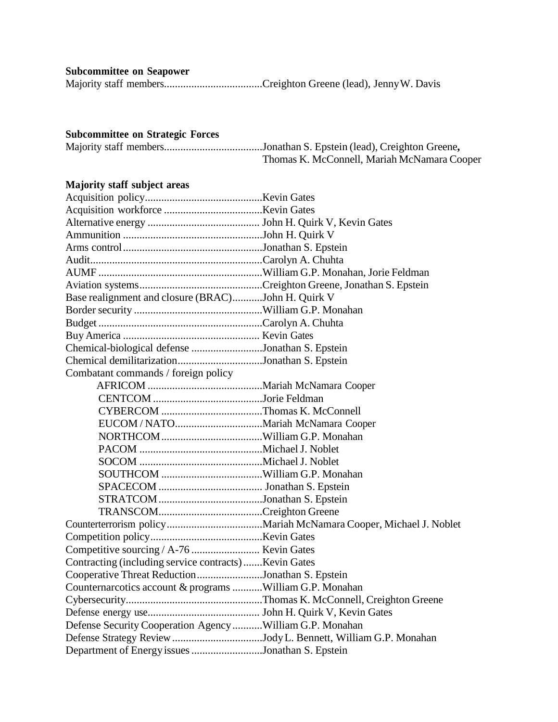#### **Subcommittee on Seapower**

Majority staff members....................................Creighton Greene (lead), JennyW. Davis

#### **Subcommittee on Strategic Forces**

Majority staff members....................................Jonathan S. Epstein (lead), Creighton Greene**,** Thomas K. McConnell, Mariah McNamara Cooper

## **Majority staff subject areas**

| Base realignment and closure (BRAC)John H. Quirk V        |  |  |
|-----------------------------------------------------------|--|--|
|                                                           |  |  |
|                                                           |  |  |
|                                                           |  |  |
| Chemical-biological defense Jonathan S. Epstein           |  |  |
| Chemical demilitarizationJonathan S. Epstein              |  |  |
| Combatant commands / foreign policy                       |  |  |
|                                                           |  |  |
|                                                           |  |  |
| CYBERCOM Thomas K. McConnell                              |  |  |
|                                                           |  |  |
|                                                           |  |  |
|                                                           |  |  |
|                                                           |  |  |
|                                                           |  |  |
|                                                           |  |  |
|                                                           |  |  |
|                                                           |  |  |
|                                                           |  |  |
|                                                           |  |  |
|                                                           |  |  |
| Contracting (including service contracts)Kevin Gates      |  |  |
| Cooperative Threat ReductionJonathan S. Epstein           |  |  |
| Counternarcotics account & programs William G.P. Monahan  |  |  |
|                                                           |  |  |
|                                                           |  |  |
| Defense Security Cooperation Agency  William G.P. Monahan |  |  |
|                                                           |  |  |
| Department of Energy issues Jonathan S. Epstein           |  |  |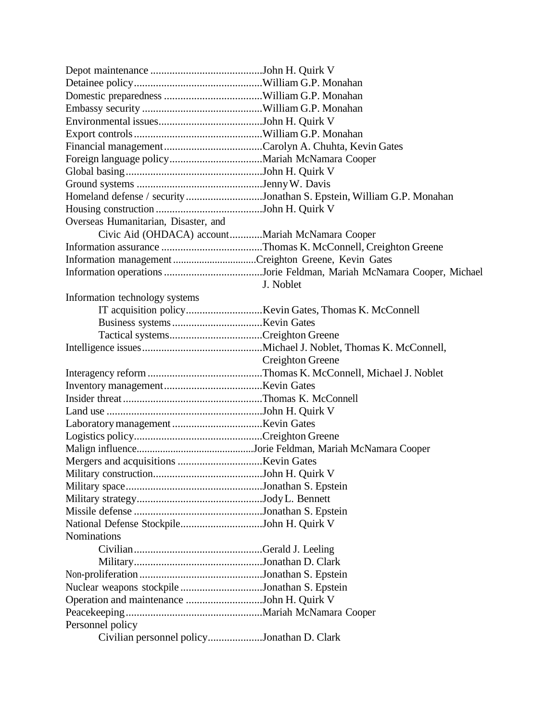|                                                  | Homeland defense / security Jonathan S. Epstein, William G.P. Monahan |
|--------------------------------------------------|-----------------------------------------------------------------------|
|                                                  |                                                                       |
| Overseas Humanitarian, Disaster, and             |                                                                       |
| Civic Aid (OHDACA) accountMariah McNamara Cooper |                                                                       |
|                                                  |                                                                       |
|                                                  |                                                                       |
|                                                  |                                                                       |
|                                                  | J. Noblet                                                             |
| Information technology systems                   |                                                                       |
|                                                  |                                                                       |
|                                                  |                                                                       |
|                                                  |                                                                       |
|                                                  |                                                                       |
|                                                  | Creighton Greene                                                      |
|                                                  |                                                                       |
|                                                  |                                                                       |
|                                                  |                                                                       |
|                                                  |                                                                       |
|                                                  |                                                                       |
|                                                  |                                                                       |
|                                                  |                                                                       |
|                                                  |                                                                       |
|                                                  |                                                                       |
|                                                  |                                                                       |
|                                                  |                                                                       |
|                                                  |                                                                       |
| National Defense StockpileJohn H. Quirk V        |                                                                       |
| <b>Nominations</b>                               |                                                                       |
|                                                  |                                                                       |
|                                                  |                                                                       |
|                                                  |                                                                       |
| Nuclear weapons stockpile Jonathan S. Epstein    |                                                                       |
| Operation and maintenance John H. Quirk V        |                                                                       |
|                                                  |                                                                       |
| Personnel policy                                 |                                                                       |
|                                                  |                                                                       |
| Civilian personnel policyJonathan D. Clark       |                                                                       |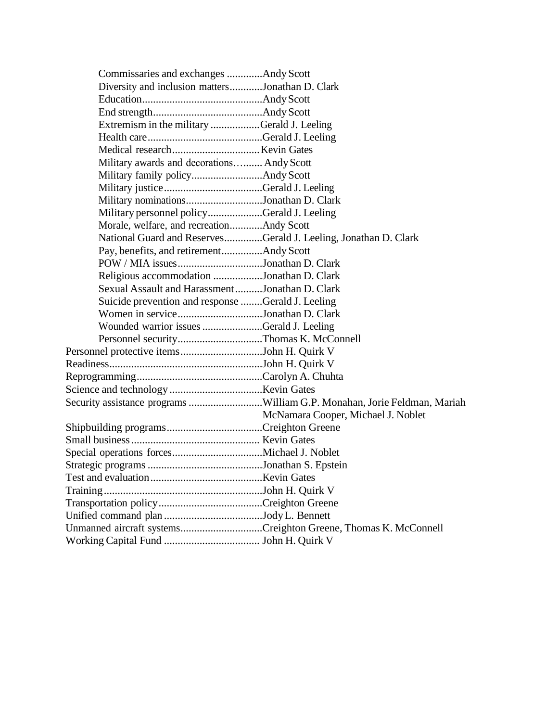| Commissaries and exchanges Andy Scott                          |                                                                          |
|----------------------------------------------------------------|--------------------------------------------------------------------------|
| Diversity and inclusion mattersJonathan D. Clark               |                                                                          |
|                                                                |                                                                          |
|                                                                |                                                                          |
| Extremism in the military Gerald J. Leeling                    |                                                                          |
|                                                                |                                                                          |
|                                                                |                                                                          |
| Military awards and decorations Andy Scott                     |                                                                          |
|                                                                |                                                                          |
|                                                                |                                                                          |
| Military nominationsJonathan D. Clark                          |                                                                          |
| Military personnel policyGerald J. Leeling                     |                                                                          |
| Morale, welfare, and recreationAndy Scott                      |                                                                          |
|                                                                | National Guard and ReservesGerald J. Leeling, Jonathan D. Clark          |
| Pay, benefits, and retirementAndy Scott                        |                                                                          |
| POW / MIA issuesJonathan D. Clark                              |                                                                          |
| Religious accommodation Jonathan D. Clark                      |                                                                          |
| Sexual Assault and HarassmentJonathan D. Clark                 |                                                                          |
| Suicide prevention and response Gerald J. Leeling              |                                                                          |
| Women in serviceJonathan D. Clark                              |                                                                          |
| Wounded warrior issues Gerald J. Leeling                       |                                                                          |
| Personnel securityThomas K. McConnell                          |                                                                          |
| Personnel protective itemsJohn H. Quirk V                      |                                                                          |
|                                                                |                                                                          |
|                                                                |                                                                          |
|                                                                |                                                                          |
|                                                                | Security assistance programs William G.P. Monahan, Jorie Feldman, Mariah |
|                                                                | McNamara Cooper, Michael J. Noblet                                       |
|                                                                |                                                                          |
|                                                                |                                                                          |
|                                                                |                                                                          |
|                                                                |                                                                          |
|                                                                |                                                                          |
|                                                                |                                                                          |
|                                                                |                                                                          |
|                                                                |                                                                          |
| Unmanned aircraft systemsCreighton Greene, Thomas K. McConnell |                                                                          |
|                                                                |                                                                          |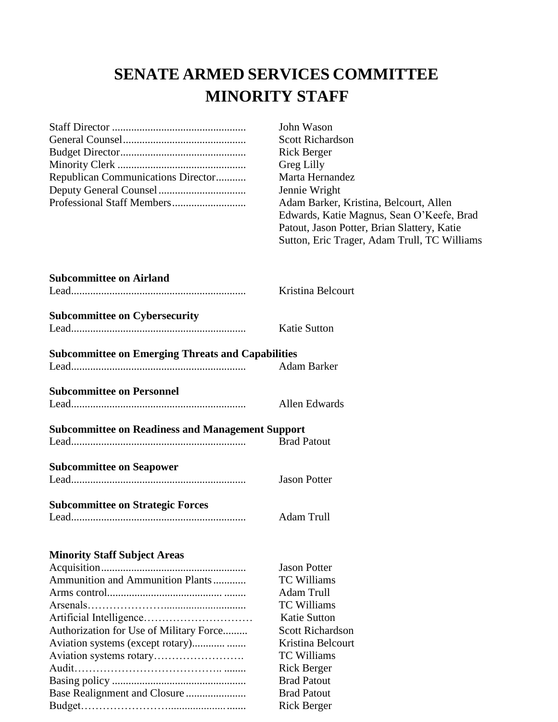# **SENATE ARMED SERVICES COMMITTEE MINORITY STAFF**

|                                                          | John Wason                                    |  |
|----------------------------------------------------------|-----------------------------------------------|--|
|                                                          | <b>Scott Richardson</b><br><b>Rick Berger</b> |  |
|                                                          |                                               |  |
|                                                          | Greg Lilly                                    |  |
| Republican Communications Director                       | Marta Hernandez                               |  |
|                                                          | Jennie Wright                                 |  |
|                                                          | Adam Barker, Kristina, Belcourt, Allen        |  |
|                                                          | Edwards, Katie Magnus, Sean O'Keefe, Brad     |  |
|                                                          | Patout, Jason Potter, Brian Slattery, Katie   |  |
|                                                          | Sutton, Eric Trager, Adam Trull, TC Williams  |  |
| <b>Subcommittee on Airland</b>                           |                                               |  |
|                                                          | Kristina Belcourt                             |  |
|                                                          |                                               |  |
| <b>Subcommittee on Cybersecurity</b>                     |                                               |  |
|                                                          | <b>Katie Sutton</b>                           |  |
|                                                          |                                               |  |
| <b>Subcommittee on Emerging Threats and Capabilities</b> |                                               |  |
|                                                          | <b>Adam Barker</b>                            |  |
| <b>Subcommittee on Personnel</b>                         |                                               |  |
|                                                          | Allen Edwards                                 |  |
| <b>Subcommittee on Readiness and Management Support</b>  |                                               |  |
|                                                          | <b>Brad Patout</b>                            |  |
|                                                          |                                               |  |
| <b>Subcommittee on Seapower</b>                          |                                               |  |
|                                                          | <b>Jason Potter</b>                           |  |
|                                                          |                                               |  |
| <b>Subcommittee on Strategic Forces</b>                  |                                               |  |
|                                                          | Adam Trull                                    |  |
| <b>Minority Staff Subject Areas</b>                      |                                               |  |
|                                                          | <b>Jason Potter</b>                           |  |
| Ammunition and Ammunition Plants                         | <b>TC Williams</b>                            |  |
|                                                          | <b>Adam Trull</b>                             |  |
|                                                          | <b>TC Williams</b>                            |  |
|                                                          | <b>Katie Sutton</b>                           |  |
| Authorization for Use of Military Force                  | <b>Scott Richardson</b>                       |  |
|                                                          | Kristina Belcourt                             |  |
|                                                          | <b>TC Williams</b>                            |  |
|                                                          | <b>Rick Berger</b>                            |  |
|                                                          |                                               |  |

Basing policy ................................................. Brad Patout Base Realignment and Closure ...................... Brad Patout Budget……………………............................ Rick Berger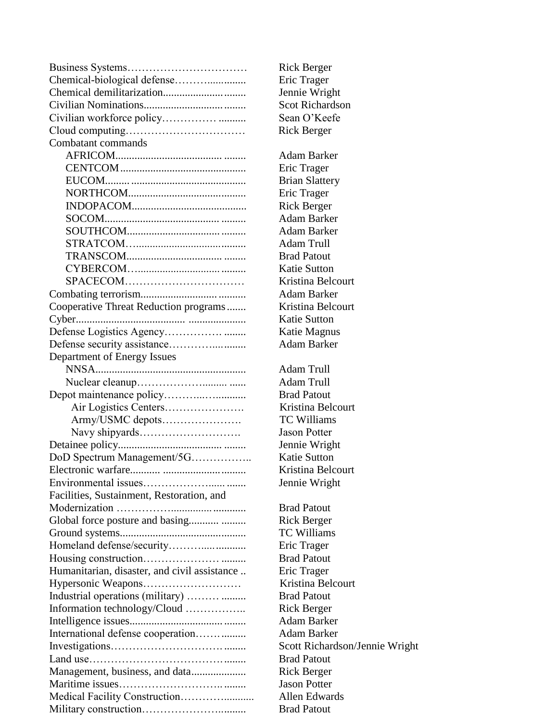|                                              | <b>Rick Berger</b>                     |
|----------------------------------------------|----------------------------------------|
|                                              | Eric Trager                            |
|                                              | Jennie Wrig                            |
|                                              | Scot Richard                           |
|                                              | Sean O'Kee                             |
|                                              | <b>Rick Berger</b>                     |
| Combatant commands                           |                                        |
|                                              | Adam Bark                              |
|                                              | Eric Trager                            |
|                                              | <b>Brian Slatte</b>                    |
|                                              | Eric Trager                            |
|                                              | <b>Rick Berger</b>                     |
|                                              | <b>Adam Bark</b>                       |
|                                              | <b>Adam Barke</b>                      |
|                                              | <b>Adam Trull</b>                      |
|                                              | <b>Brad Patout</b>                     |
|                                              | <b>Katie Suttor</b>                    |
|                                              | Kristina Bel                           |
|                                              | <b>Adam Bark</b>                       |
| Cooperative Threat Reduction programs        | Kristina Bel                           |
| $Cyber$                                      | <b>Katie Suttor</b>                    |
|                                              | Katie Magn                             |
|                                              | Adam Bark                              |
| Department of Energy Issues                  |                                        |
|                                              | <b>Adam Trull</b>                      |
|                                              | <b>Adam Trull</b>                      |
|                                              | <b>Brad Patout</b>                     |
| Air Logistics Centers                        | Kristina Bel                           |
| Army/USMC depots                             | <b>TC William</b>                      |
|                                              | <b>Jason Potter</b>                    |
|                                              | Jennie Wrig                            |
| DoD Spectrum Management/5G                   | <b>Katie Suttor</b>                    |
| Electronic warfare.                          | Kristina Bel                           |
|                                              | Jennie Wrig                            |
| Facilities, Sustainment, Restoration, and    |                                        |
|                                              | <b>Brad Patout</b>                     |
| Global force posture and basing              | <b>Rick Berger</b>                     |
|                                              | <b>TC William</b>                      |
| Homeland defense/security                    | Eric Trager                            |
|                                              | <b>Brad Patout</b>                     |
|                                              |                                        |
| Humanitarian, disaster, and civil assistance | Eric Trager<br>Kristina Bel            |
|                                              | <b>Brad Patout</b>                     |
| Industrial operations (military)             |                                        |
| Information technology/Cloud                 | <b>Rick Berger</b><br><b>Adam Bark</b> |
|                                              |                                        |
| International defense cooperation            | Adam Bark                              |
|                                              | <b>Scott Richar</b>                    |
|                                              | <b>Brad Patout</b>                     |
|                                              | <b>Rick Berger</b>                     |
|                                              | <b>Jason Potter</b>                    |
|                                              | Allen Edwa                             |
|                                              | <b>Brad Patout</b>                     |

Rick Berger Eric Trager Jennie Wright. Scot Richardson Sean O'Keefe Rick Berger Adam Barker Eric Trager Brian Slattery Eric Trager Rick Berger Adam Barker Adam Barker Adam Trull Brad Patout Katie Sutton Kristina Belcourt Adam Barker Kristina Belcourt Katie Sutton Katie Magnus Adam Barker Adam Trull Adam Trull Brad Patout Kristina Belcourt TC Williams Jason Potter Jennie Wright Katie Sutton Kristina Belcourt Jennie Wright Brad Patout Rick Berger TC Williams Eric Trager **Brad Patout** Eric Trager Kristina Belcourt Brad Patout Rick Berger Adam Barker Adam Barker Scott Richardson/Jennie Wright **Brad Patout** Rick Berger Jason Potter .. Allen Edwards